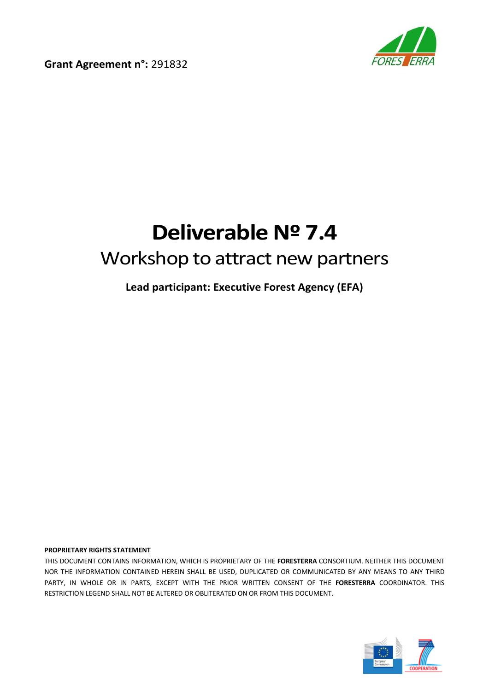**Grant Agreement n°:** 291832



# **Deliverable Nº 7.4** Workshop to attract new partners

**Lead participant: Executive Forest Agency (EFA)**

#### **PROPRIETARY RIGHTS STATEMENT**

THIS DOCUMENT CONTAINS INFORMATION, WHICH IS PROPRIETARY OF THE **FORESTERRA** CONSORTIUM. NEITHER THIS DOCUMENT NOR THE INFORMATION CONTAINED HEREIN SHALL BE USED, DUPLICATED OR COMMUNICATED BY ANY MEANS TO ANY THIRD PARTY, IN WHOLE OR IN PARTS, EXCEPT WITH THE PRIOR WRITTEN CONSENT OF THE **FORESTERRA** COORDINATOR. THIS RESTRICTION LEGEND SHALL NOT BE ALTERED OR OBLITERATED ON OR FROM THIS DOCUMENT.

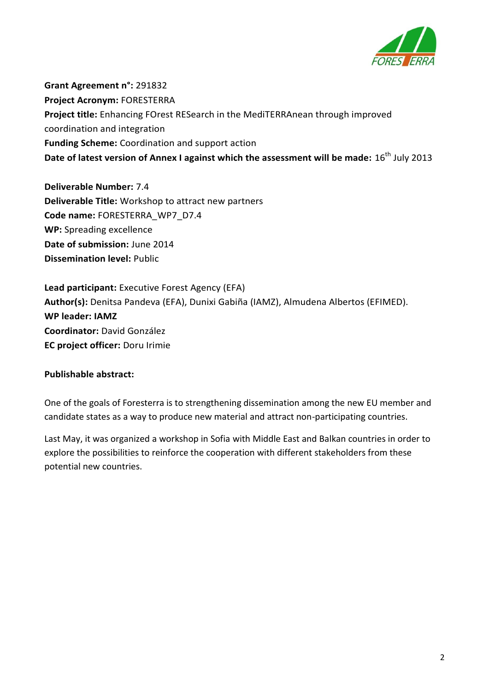

**Grant Agreement n°:** 291832 **Project Acronym:** FORESTERRA **Project title:** Enhancing FOrest RESearch in the MediTERRAnean through improved coordination and integration **Funding Scheme:** Coordination and support action **Date of latest version of Annex I against which the assessment will be made:**  $16^{th}$  July 2013

**Deliverable Number:** 7.4 **Deliverable Title:** Workshop to attract new partners **Code name:** FORESTERRA\_WP7\_D7.4 **WP:** Spreading excellence **Date of submission:** June 2014 **Dissemination level:** Public

**Lead participant:** Executive Forest Agency (EFA) **Author(s):** Denitsa Pandeva (EFA), Dunixi Gabiña (IAMZ), Almudena Albertos (EFIMED). **WP leader: IAMZ Coordinator:** David González **EC project officer:** Doru Irimie

### **Publishable abstract:**

One of the goals of Foresterra is to strengthening dissemination among the new EU member and candidate states as a way to produce new material and attract non-participating countries.

Last May, it was organized a workshop in Sofia with Middle East and Balkan countries in order to explore the possibilities to reinforce the cooperation with different stakeholders from these potential new countries.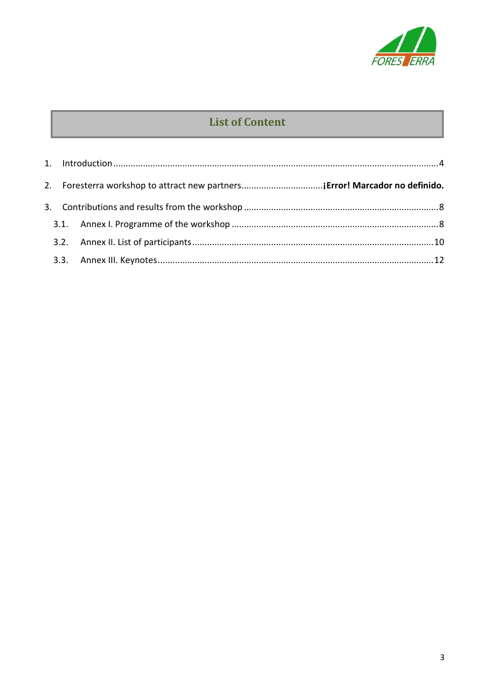

## **List of Content**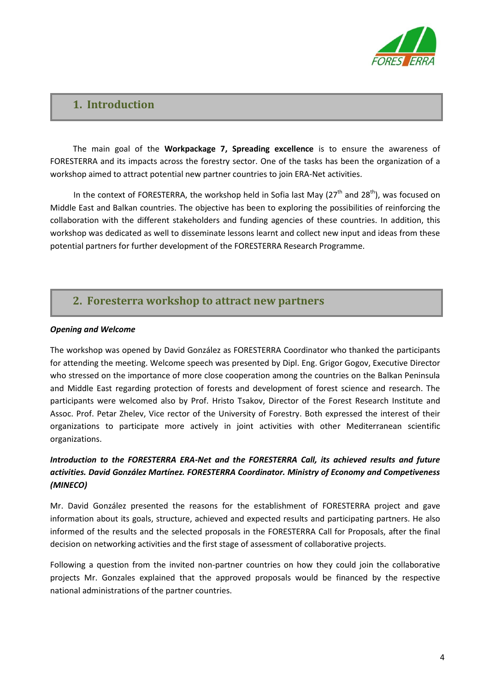

### <span id="page-3-0"></span>**1. Introduction**

The main goal of the **Workpackage 7, Spreading excellence** is to ensure the awareness of FORESTERRA and its impacts across the forestry sector. One of the tasks has been the organization of a workshop aimed to attract potential new partner countries to join ERA-Net activities.

In the context of FORESTERRA, the workshop held in Sofia last May  $(27<sup>th</sup>$  and  $28<sup>th</sup>$ ), was focused on Middle East and Balkan countries. The objective has been to exploring the possibilities of reinforcing the collaboration with the different stakeholders and funding agencies of these countries. In addition, this workshop was dedicated as well to disseminate lessons learnt and collect new input and ideas from these potential partners for further development of the FORESTERRA Research Programme.

### **2. Foresterra workshop to attract new partners**

#### *Opening and Welcome*

The workshop was opened by David González as FORESTERRA Coordinator who thanked the participants for attending the meeting. Welcome speech was presented by Dipl. Eng. Grigor Gogov, Executive Director who stressed on the importance of more close cooperation among the countries on the Balkan Peninsula and Middle East regarding protection of forests and development of forest science and research. The participants were welcomed also by Prof. Hristo Tsakov, Director of the Forest Research Institute and Assoc. Prof. Petar Zhelev, Vice rector of the University of Forestry. Both expressed the interest of their organizations to participate more actively in joint activities with other Mediterranean scientific organizations.

### *Introduction to the FORESTERRA ERA-Net and the FORESTERRA Call, its achieved results and future activities. David González Martínez. FORESTERRA Coordinator. Ministry of Economy and Competiveness (MINECO)*

Mr. David González presented the reasons for the establishment of FORESTERRA project and gave information about its goals, structure, achieved and expected results and participating partners. He also informed of the results and the selected proposals in the FORESTERRA Call for Proposals, after the final decision on networking activities and the first stage of assessment of collaborative projects.

Following a question from the invited non-partner countries on how they could join the collaborative projects Mr. Gonzales explained that the approved proposals would be financed by the respective national administrations of the partner countries.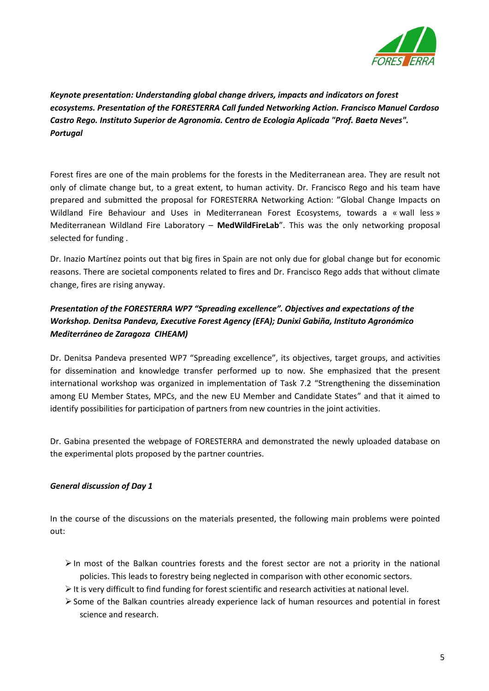

*Keynote presentation: Understanding global change drivers, impacts and indicators on forest ecosystems. Presentation of the FORESTERRA Call funded Networking Action. Francisco Manuel Cardoso Castro Rego. Instituto Superior de Agronomia. Centro de Ecologia Aplicada "Prof. Baeta Neves". Portugal*

Forest fires are one of the main problems for the forests in the Mediterranean area. They are result not only of climate change but, to a great extent, to human activity. Dr. Francisco Rego and his team have prepared and submitted the proposal for FORESTERRA Networking Action: "Global Change Impacts on Wildland Fire Behaviour and Uses in Mediterranean Forest Ecosystems, towards a « wall less » Mediterranean Wildland Fire Laboratory – **MedWildFireLab**". This was the only networking proposal selected for funding .

Dr. Inazio Martínez points out that big fires in Spain are not only due for global change but for economic reasons. There are societal components related to fires and Dr. Francisco Rego adds that without climate change, fires are rising anyway.

### *Presentation of the FORESTERRA WP7 "Spreading excellence". Objectives and expectations of the Workshop. Denitsa Pandeva, Executive Forest Agency (EFA); Dunixi Gabiña, Instituto Agronómico Mediterráneo de Zaragoza CIHEAM)*

Dr. Denitsa Pandeva presented WP7 "Spreading excellence", its objectives, target groups, and activities for dissemination and knowledge transfer performed up to now. She emphasized that the present international workshop was organized in implementation of Task 7.2 "Strengthening the dissemination among EU Member States, MPCs, and the new EU Member and Candidate States" and that it aimed to identify possibilities for participation of partners from new countries in the joint activities.

Dr. Gabina presented the webpage of FORESTERRA and demonstrated the newly uploaded database on the experimental plots proposed by the partner countries.

#### *General discussion of Day 1*

In the course of the discussions on the materials presented, the following main problems were pointed out:

- $\triangleright$  In most of the Balkan countries forests and the forest sector are not a priority in the national policies. This leads to forestry being neglected in comparison with other economic sectors.
- $\triangleright$  It is very difficult to find funding for forest scientific and research activities at national level.
- $\triangleright$  Some of the Balkan countries already experience lack of human resources and potential in forest science and research.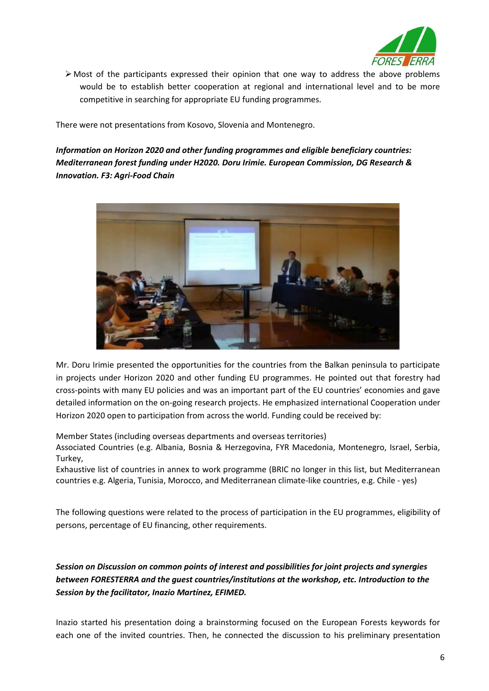

 $\triangleright$  Most of the participants expressed their opinion that one way to address the above problems would be to establish better cooperation at regional and international level and to be more competitive in searching for appropriate EU funding programmes.

There were not presentations from Kosovo, Slovenia and Montenegro.

### *Information on Horizon 2020 and other funding programmes and eligible beneficiary countries: Mediterranean forest funding under H2020. Doru Irimie. European Commission, DG Research & Innovation. F3: Agri-Food Chain*



Mr. Doru Irimie presented the opportunities for the countries from the Balkan peninsula to participate in projects under Horizon 2020 and other funding EU programmes. He pointed out that forestry had cross-points with many EU policies and was an important part of the EU countries' economies and gave detailed information on the on-going research projects. He emphasized international Cooperation under Horizon 2020 open to participation from across the world. Funding could be received by:

Member States (including overseas departments and overseas territories)

Associated Countries (e.g. Albania, Bosnia & Herzegovina, FYR Macedonia, Montenegro, Israel, Serbia, Turkey,

Exhaustive list of countries in annex to work programme (BRIC no longer in this list, but Mediterranean countries e.g. Algeria, Tunisia, Morocco, and Mediterranean climate-like countries, e.g. Chile - yes)

The following questions were related to the process of participation in the EU programmes, eligibility of persons, percentage of EU financing, other requirements.

### *Session on Discussion on common points of interest and possibilities for joint projects and synergies between FORESTERRA and the guest countries/institutions at the workshop, etc. Introduction to the Session by the facilitator, Inazio Martínez, EFIMED.*

Inazio started his presentation doing a brainstorming focused on the European Forests keywords for each one of the invited countries. Then, he connected the discussion to his preliminary presentation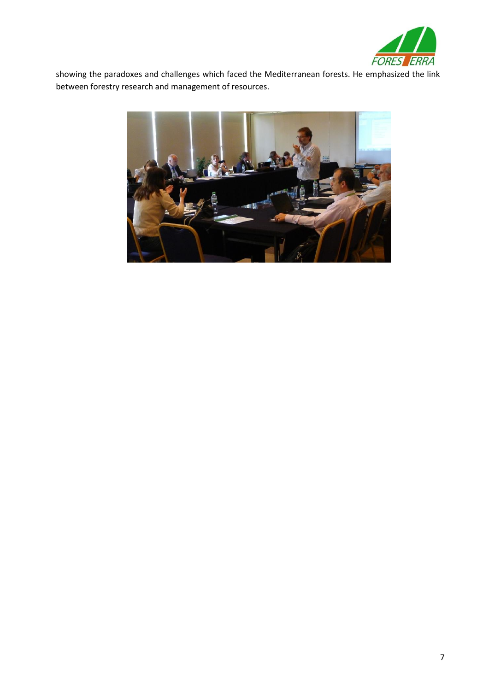

showing the paradoxes and challenges which faced the Mediterranean forests. He emphasized the link between forestry research and management of resources.

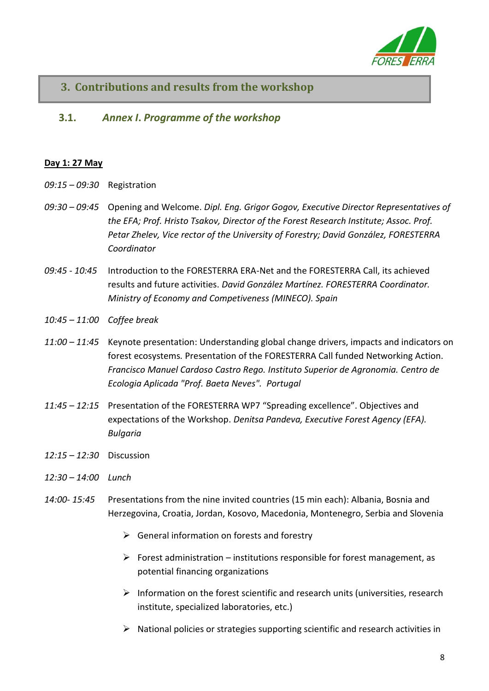

### <span id="page-7-1"></span><span id="page-7-0"></span>**3. Contributions and results from the workshop**

#### **3.1.** *Annex I***.** *Programme of the workshop* **3.1.**

### **Day 1: 27 May**

- *09:15 – 09:30* Registration
- *09:30 – 09:45* Opening and Welcome. *Dipl. Eng. Grigor Gogov, Executive Director Representatives of the EFA; Prof. Hristo Tsakov, Director of the Forest Research Institute; Assoc. Prof. Petar Zhelev, Vice rector of the University of Forestry; David González, FORESTERRA Coordinator*
- *09:45 - 10:45* Introduction to the FORESTERRA ERA-Net and the FORESTERRA Call, its achieved results and future activities. *David González Martínez. FORESTERRA Coordinator. Ministry of Economy and Competiveness (MINECO). Spain*
- *10:45 – 11:00 Coffee break*
- *11:00 – 11:45* Keynote presentation: Understanding global change drivers, impacts and indicators on forest ecosystems*.* Presentation of the FORESTERRA Call funded Networking Action. *Francisco Manuel Cardoso Castro Rego. Instituto Superior de Agronomia. Centro de Ecologia Aplicada "Prof. Baeta Neves". Portugal*
- *11:45 – 12:15* Presentation of the FORESTERRA WP7 "Spreading excellence". Objectives and expectations of the Workshop. *Denitsa Pandeva, Executive Forest Agency (EFA). Bulgaria*
- *12:15 – 12:30* Discussion
- *12:30 – 14:00 Lunch*
- *14:00- 15:45* Presentations from the nine invited countries (15 min each): Albania, Bosnia and Herzegovina, Croatia, Jordan, Kosovo, Macedonia, Montenegro, Serbia and Slovenia
	- $\triangleright$  General information on forests and forestry
	- $\triangleright$  Forest administration institutions responsible for forest management, as potential financing organizations
	- $\triangleright$  Information on the forest scientific and research units (universities, research institute, specialized laboratories, etc.)
	- $\triangleright$  National policies or strategies supporting scientific and research activities in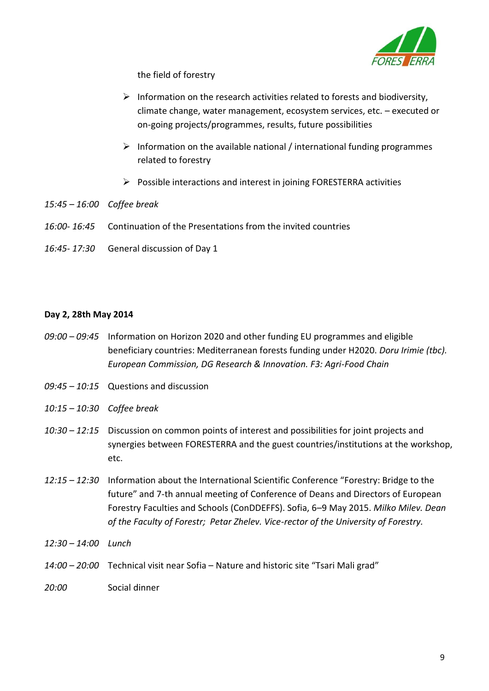

the field of forestry

- $\triangleright$  Information on the research activities related to forests and biodiversity, climate change, water management, ecosystem services, etc. – executed or on-going projects/programmes, results, future possibilities
- $\triangleright$  Information on the available national / international funding programmes related to forestry
- $\triangleright$  Possible interactions and interest in joining FORESTERRA activities
- *15:45 – 16:00 Coffee break*
- *16:00- 16:45* Continuation of the Presentations from the invited countries
- *16:45- 17:30* General discussion of Day 1

### **Day 2, 28th May 2014**

- *09:00 – 09:45* Information on Horizon 2020 and other funding EU programmes and eligible beneficiary countries: Mediterranean forests funding under H2020. *Doru Irimie (tbc). European Commission, DG Research & Innovation. F3: Agri-Food Chain*
- *09:45 – 10:15* Questions and discussion
- *10:15 – 10:30 Coffee break*
- *10:30 – 12:15* Discussion on common points of interest and possibilities for joint projects and synergies between FORESTERRA and the guest countries/institutions at the workshop, etc.
- *12:15 – 12:30* Information about the International Scientific Conference "Forestry: Bridge to the future" and 7-th annual meeting of Conference of Deans and Directors of European Forestry Faculties and Schools (ConDDEFFS). Sofia, 6–9 May 2015. *Milko Milev. Dean of the Faculty of Forestr; Petar Zhelev. Vice-rector of the University of Forestry.*
- *12:30 – 14:00 Lunch*
- *14:00 – 20:00* Technical visit near Sofia Nature and historic site "Tsari Mali grad"
- *20:00* Social dinner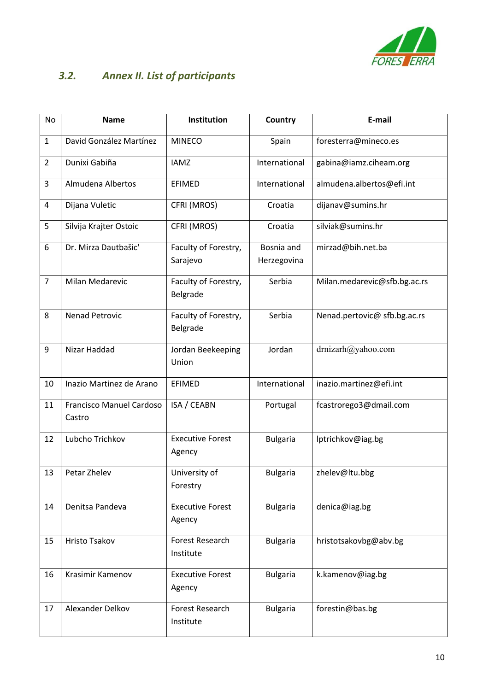

### <span id="page-9-0"></span>*3.2. Annex II. List of participants*

| No             | <b>Name</b>                        | Institution                       | Country                   | E-mail                       |
|----------------|------------------------------------|-----------------------------------|---------------------------|------------------------------|
| $\mathbf{1}$   | David González Martínez            | <b>MINECO</b>                     | Spain                     | foresterra@mineco.es         |
| $\overline{2}$ | Dunixi Gabiña                      | <b>IAMZ</b>                       | International             | gabina@iamz.ciheam.org       |
| 3              | Almudena Albertos                  | EFIMED                            | International             | almudena.albertos@efi.int    |
| 4              | Dijana Vuletic                     | CFRI (MROS)                       | Croatia                   | dijanav@sumins.hr            |
| 5              | Silvija Krajter Ostoic             | CFRI (MROS)                       | Croatia                   | silviak@sumins.hr            |
| 6              | Dr. Mirza Dautbašic'               | Faculty of Forestry,<br>Sarajevo  | Bosnia and<br>Herzegovina | mirzad@bih.net.ba            |
| $\overline{7}$ | Milan Medarevic                    | Faculty of Forestry,<br>Belgrade  | Serbia                    | Milan.medarevic@sfb.bg.ac.rs |
| 8              | Nenad Petrovic                     | Faculty of Forestry,<br>Belgrade  | Serbia                    | Nenad.pertovic@ sfb.bg.ac.rs |
| 9              | Nizar Haddad                       | Jordan Beekeeping<br>Union        | Jordan                    | drnizarh@yahoo.com           |
| 10             | Inazio Martinez de Arano           | <b>EFIMED</b>                     | International             | inazio.martinez@efi.int      |
| 11             | Francisco Manuel Cardoso<br>Castro | ISA / CEABN                       | Portugal                  | fcastrorego3@dmail.com       |
| 12             | Lubcho Trichkov                    | <b>Executive Forest</b><br>Agency | <b>Bulgaria</b>           | lptrichkov@iag.bg            |
| 13             | Petar Zhelev                       | University of<br>Forestry         | <b>Bulgaria</b>           | zhelev@ltu.bbg               |
| 14             | Denitsa Pandeva                    | <b>Executive Forest</b><br>Agency | <b>Bulgaria</b>           | denica@iag.bg                |
| 15             | <b>Hristo Tsakov</b>               | Forest Research<br>Institute      | <b>Bulgaria</b>           | hristotsakovbg@abv.bg        |
| 16             | Krasimir Kamenov                   | <b>Executive Forest</b><br>Agency | <b>Bulgaria</b>           | k.kamenov@iag.bg             |
| 17             | Alexander Delkov                   | Forest Research<br>Institute      | <b>Bulgaria</b>           | forestin@bas.bg              |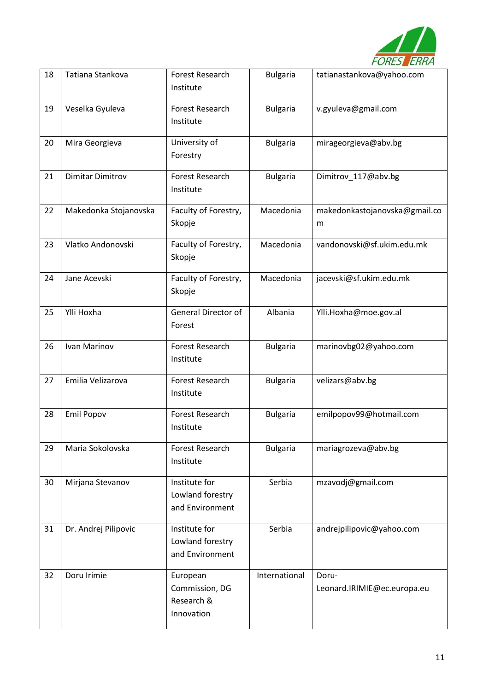

| 18 | Tatiana Stankova        | Forest Research<br>Institute                           | <b>Bulgaria</b> | tatianastankova@yahoo.com            |
|----|-------------------------|--------------------------------------------------------|-----------------|--------------------------------------|
| 19 | Veselka Gyuleva         | Forest Research<br>Institute                           | <b>Bulgaria</b> | v.gyuleva@gmail.com                  |
| 20 | Mira Georgieva          | University of<br>Forestry                              | <b>Bulgaria</b> | mirageorgieva@abv.bg                 |
| 21 | <b>Dimitar Dimitrov</b> | Forest Research<br>Institute                           | <b>Bulgaria</b> | Dimitrov_117@abv.bg                  |
| 22 | Makedonka Stojanovska   | Faculty of Forestry,<br>Skopje                         | Macedonia       | makedonkastojanovska@gmail.co<br>m   |
| 23 | Vlatko Andonovski       | Faculty of Forestry,<br>Skopje                         | Macedonia       | vandonovski@sf.ukim.edu.mk           |
| 24 | Jane Acevski            | Faculty of Forestry,<br>Skopje                         | Macedonia       | jacevski@sf.ukim.edu.mk              |
| 25 | Ylli Hoxha              | General Director of<br>Forest                          | Albania         | Ylli.Hoxha@moe.gov.al                |
| 26 | Ivan Marinov            | Forest Research<br>Institute                           | <b>Bulgaria</b> | marinovbg02@yahoo.com                |
| 27 | Emilia Velizarova       | Forest Research<br>Institute                           | <b>Bulgaria</b> | velizars@abv.bg                      |
| 28 | <b>Emil Popov</b>       | Forest Research<br>Institute                           | <b>Bulgaria</b> | emilpopov99@hotmail.com              |
| 29 | Maria Sokolovska        | <b>Forest Research</b><br>Institute                    | <b>Bulgaria</b> | mariagrozeva@abv.bg                  |
| 30 | Mirjana Stevanov        | Institute for<br>Lowland forestry<br>and Environment   | Serbia          | mzavodj@gmail.com                    |
| 31 | Dr. Andrej Pilipovic    | Institute for<br>Lowland forestry<br>and Environment   | Serbia          | andrejpilipovic@yahoo.com            |
| 32 | Doru Irimie             | European<br>Commission, DG<br>Research &<br>Innovation | International   | Doru-<br>Leonard.IRIMIE@ec.europa.eu |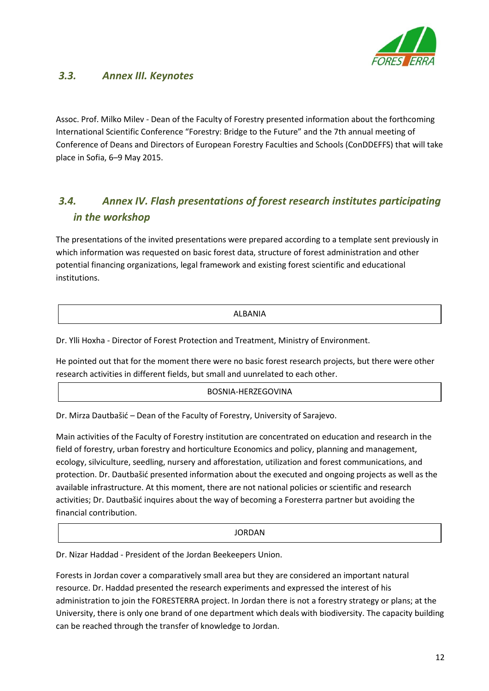

### <span id="page-11-0"></span>*3.3. Annex III. Keynotes*

Assoc. Prof. Milko Milev - Dean of the Faculty of Forestry presented information about the forthcoming International Scientific Conference "Forestry: Bridge to the Future" and the 7th annual meeting of Conference of Deans and Directors of European Forestry Faculties and Schools (ConDDEFFS) that will take place in Sofia, 6–9 May 2015.

### *3.4. Annex IV. Flash presentations of forest research institutes participating in the workshop*

The presentations of the invited presentations were prepared according to a template sent previously in which information was requested on basic forest data, structure of forest administration and other potential financing organizations, legal framework and existing forest scientific and educational institutions.

#### ALBANIA

Dr. Ylli Hoxha - Director of Forest Protection and Treatment, Ministry of Environment.

He pointed out that for the moment there were no basic forest research projects, but there were other research activities in different fields, but small and uunrelated to each other.

#### BOSNIA-HERZEGOVINA

Dr. Mirza Dautbašić – Dean of the Faculty of Forestry, University of Sarajevo.

Main activities of the Faculty of Forestry institution are concentrated on education and research in the field of forestry, urban forestry and horticulture Economics and policy, planning and management, ecology, silviculture, seedling, nursery and afforestation, utilization and forest communications, and protection. Dr. Dautbašić presented information about the executed and ongoing projects as well as the available infrastructure. At this moment, there are not national policies or scientific and research activities; Dr. Dautbašić inquires about the way of becoming a Foresterra partner but avoiding the financial contribution.

#### **JORDAN**

Dr. Nizar Haddad - President of the Jordan Beekeepers Union.

Forests in Jordan cover a comparatively small area but they are considered an important natural resource. Dr. Haddad presented the research experiments and expressed the interest of his administration to join the FORESTERRA project. In Jordan there is not a forestry strategy or plans; at the University, there is only one brand of one department which deals with biodiversity. The capacity building can be reached through the transfer of knowledge to Jordan.